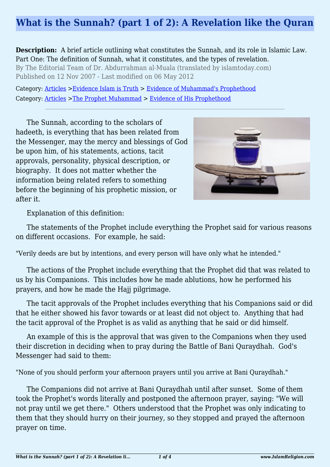# **What is the Sunnah? (part 1 of 2): A Revelation like the Quran**

**Description:** A brief article outlining what constitutes the Sunnah, and its role in Islamic Law. Part One: The definition of Sunnah, what it constitutes, and the types of revelation. By The Editorial Team of Dr. Abdurrahman al-Muala (translated by islamtoday.com) Published on 12 Nov 2007 - Last modified on 06 May 2012

Category: [Articles](http://www.islamreligion.com/articles/) >[Evidence Islam is Truth](http://www.islamreligion.com/category/33/) > [Evidence of Muhammad's Prophethood](http://www.islamreligion.com/category/38/) Category: [Articles](http://www.islamreligion.com/articles/) >[The Prophet Muhammad](http://www.islamreligion.com/category/79/) > [Evidence of His Prophethood](http://www.islamreligion.com/category/118/)

The Sunnah, according to the scholars of hadeeth, is everything that has been related from the Messenger, may the mercy and blessings of God be upon him, of his statements, actions, tacit approvals, personality, physical description, or biography. It does not matter whether the information being related refers to something before the beginning of his prophetic mission, or after it.



Explanation of this definition:

The statements of the Prophet include everything the Prophet said for various reasons on different occasions. For example, he said:

"Verily deeds are but by intentions, and every person will have only what he intended."

The actions of the Prophet include everything that the Prophet did that was related to us by his Companions. This includes how he made ablutions, how he performed his prayers, and how he made the Hajj pilgrimage.

The tacit approvals of the Prophet includes everything that his Companions said or did that he either showed his favor towards or at least did not object to. Anything that had the tacit approval of the Prophet is as valid as anything that he said or did himself.

An example of this is the approval that was given to the Companions when they used their discretion in deciding when to pray during the Battle of Bani Quraydhah. God's Messenger had said to them:

"None of you should perform your afternoon prayers until you arrive at Bani Quraydhah."

The Companions did not arrive at Bani Quraydhah until after sunset. Some of them took the Prophet's words literally and postponed the afternoon prayer, saying: "We will not pray until we get there." Others understood that the Prophet was only indicating to them that they should hurry on their journey, so they stopped and prayed the afternoon prayer on time.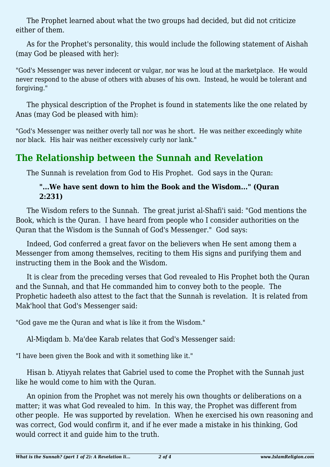The Prophet learned about what the two groups had decided, but did not criticize either of them.

As for the Prophet's personality, this would include the following statement of Aishah (may God be pleased with her):

"God's Messenger was never indecent or vulgar, nor was he loud at the marketplace. He would never respond to the abuse of others with abuses of his own. Instead, he would be tolerant and forgiving."

The physical description of the Prophet is found in statements like the one related by Anas (may God be pleased with him):

"God's Messenger was neither overly tall nor was he short. He was neither exceedingly white nor black. His hair was neither excessively curly nor lank."

## **The Relationship between the Sunnah and Revelation**

The Sunnah is revelation from God to His Prophet. God says in the Quran:

#### **"...We have sent down to him the Book and the Wisdom..." (Quran 2:231)**

The Wisdom refers to the Sunnah. The great jurist al-Shafi'i said: "God mentions the Book, which is the Quran. I have heard from people who I consider authorities on the Quran that the Wisdom is the Sunnah of God's Messenger." God says:

Indeed, God conferred a great favor on the believers when He sent among them a Messenger from among themselves, reciting to them His signs and purifying them and instructing them in the Book and the Wisdom.

It is clear from the preceding verses that God revealed to His Prophet both the Quran and the Sunnah, and that He commanded him to convey both to the people. The Prophetic hadeeth also attest to the fact that the Sunnah is revelation. It is related from Mak'hool that God's Messenger said:

"God gave me the Quran and what is like it from the Wisdom."

Al-Miqdam b. Ma'dee Karab relates that God's Messenger said:

"I have been given the Book and with it something like it."

Hisan b. Atiyyah relates that Gabriel used to come the Prophet with the Sunnah just like he would come to him with the Quran.

An opinion from the Prophet was not merely his own thoughts or deliberations on a matter; it was what God revealed to him. In this way, the Prophet was different from other people. He was supported by revelation. When he exercised his own reasoning and was correct, God would confirm it, and if he ever made a mistake in his thinking, God would correct it and guide him to the truth.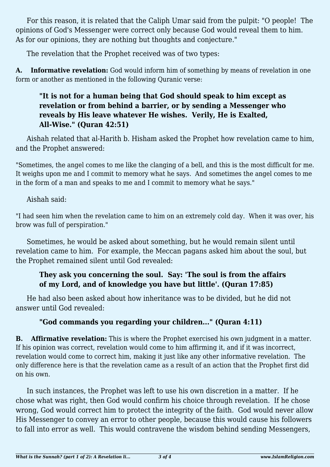For this reason, it is related that the Caliph Umar said from the pulpit: "O people! The opinions of God's Messenger were correct only because God would reveal them to him. As for our opinions, they are nothing but thoughts and conjecture."

The revelation that the Prophet received was of two types:

**A. Informative revelation:** God would inform him of something by means of revelation in one form or another as mentioned in the following Quranic verse:

#### **"It is not for a human being that God should speak to him except as revelation or from behind a barrier, or by sending a Messenger who reveals by His leave whatever He wishes. Verily, He is Exalted, All-Wise." (Quran 42:51)**

Aishah related that al-Harith b. Hisham asked the Prophet how revelation came to him, and the Prophet answered:

"Sometimes, the angel comes to me like the clanging of a bell, and this is the most difficult for me. It weighs upon me and I commit to memory what he says. And sometimes the angel comes to me in the form of a man and speaks to me and I commit to memory what he says."

Aishah said:

"I had seen him when the revelation came to him on an extremely cold day. When it was over, his brow was full of perspiration."

Sometimes, he would be asked about something, but he would remain silent until revelation came to him. For example, the Meccan pagans asked him about the soul, but the Prophet remained silent until God revealed:

### **They ask you concerning the soul. Say: 'The soul is from the affairs of my Lord, and of knowledge you have but little'. (Quran 17:85)**

He had also been asked about how inheritance was to be divided, but he did not answer until God revealed:

## **"God commands you regarding your children..." (Quran 4:11)**

**B. Affirmative revelation:** This is where the Prophet exercised his own judgment in a matter. If his opinion was correct, revelation would come to him affirming it, and if it was incorrect, revelation would come to correct him, making it just like any other informative revelation. The only difference here is that the revelation came as a result of an action that the Prophet first did on his own.

In such instances, the Prophet was left to use his own discretion in a matter. If he chose what was right, then God would confirm his choice through revelation. If he chose wrong, God would correct him to protect the integrity of the faith. God would never allow His Messenger to convey an error to other people, because this would cause his followers to fall into error as well. This would contravene the wisdom behind sending Messengers,